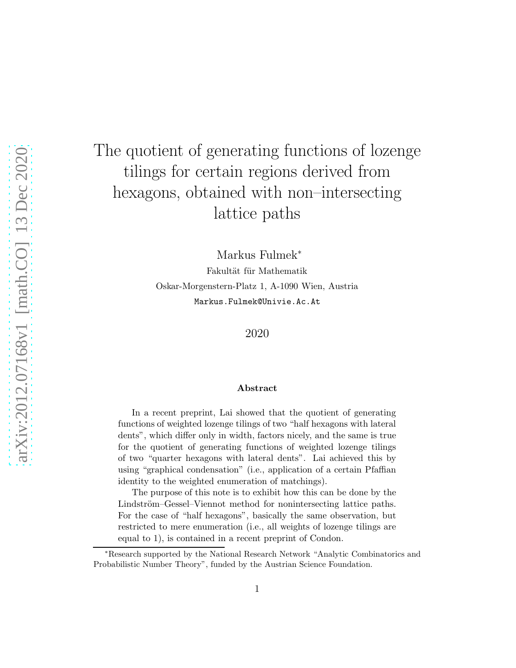# The quotient of generating functions of lozenge tilings for certain regions derived from hexagons, obtained with non–intersecting lattice paths

Markus Fulmek<sup>∗</sup> Fakultät für Mathematik Oskar-Morgenstern-Platz 1, A-1090 Wien, Austria Markus.Fulmek@Univie.Ac.At

2020

#### Abstract

In a recent preprint, Lai showed that the quotient of generating functions of weighted lozenge tilings of two "half hexagons with lateral dents", which differ only in width, factors nicely, and the same is true for the quotient of generating functions of weighted lozenge tilings of two "quarter hexagons with lateral dents". Lai achieved this by using "graphical condensation" (i.e., application of a certain Pfaffian identity to the weighted enumeration of matchings).

The purpose of this note is to exhibit how this can be done by the Lindström–Gessel–Viennot method for nonintersecting lattice paths. For the case of "half hexagons", basically the same observation, but restricted to mere enumeration (i.e., all weights of lozenge tilings are equal to 1), is contained in a recent preprint of Condon.

<sup>∗</sup>Research supported by the National Research Network "Analytic Combinatorics and Probabilistic Number Theory", funded by the Austrian Science Foundation.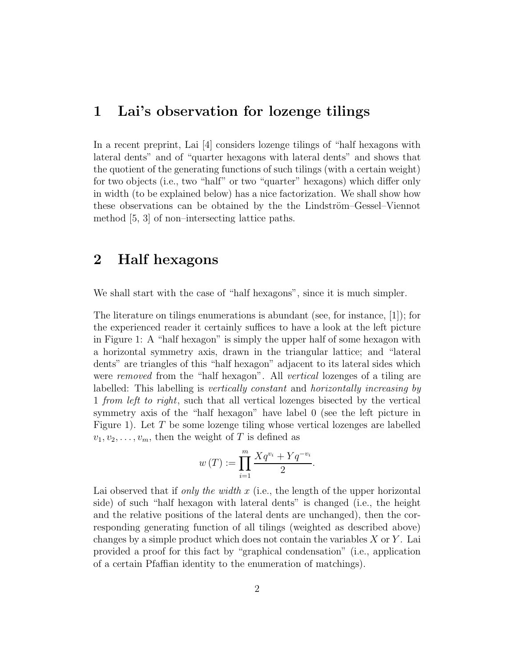## 1 Lai's observation for lozenge tilings

In a recent preprint, Lai [\[4\]](#page-24-0) considers lozenge tilings of "half hexagons with lateral dents" and of "quarter hexagons with lateral dents" and shows that the quotient of the generating functions of such tilings (with a certain weight) for two objects (i.e., two "half" or two "quarter" hexagons) which differ only in width (to be explained below) has a nice factorization. We shall show how these observations can be obtained by the the Lindström–Gessel–Viennot method [\[5,](#page-24-1) [3\]](#page-24-2) of non–intersecting lattice paths.

# 2 Half hexagons

We shall start with the case of "half hexagons", since it is much simpler.

The literature on tilings enumerations is abundant (see, for instance, [\[1\]](#page-24-3)); for the experienced reader it certainly suffices to have a look at the left picture in Figure [1:](#page-2-0) A "half hexagon" is simply the upper half of some hexagon with a horizontal symmetry axis, drawn in the triangular lattice; and "lateral dents" are triangles of this "half hexagon" adjacent to its lateral sides which were *removed* from the "half hexagon". All *vertical* lozenges of a tiling are labelled: This labelling is *vertically constant* and *horizontally increasing by* 1 *from left to right*, such that all vertical lozenges bisected by the vertical symmetry axis of the "half hexagon" have label 0 (see the left picture in Figure [1\)](#page-2-0). Let  $T$  be some lozenge tiling whose vertical lozenges are labelled  $v_1, v_2, \ldots, v_m$ , then the weight of T is defined as

$$
w(T) := \prod_{i=1}^{m} \frac{Xq^{v_i} + Yq^{-v_i}}{2}.
$$

Lai observed that if *only the width* x (i.e., the length of the upper horizontal side) of such "half hexagon with lateral dents" is changed (i.e., the height and the relative positions of the lateral dents are unchanged), then the corresponding generating function of all tilings (weighted as described above) changes by a simple product which does not contain the variables  $X$  or  $Y$ . Lai provided a proof for this fact by "graphical condensation" (i.e., application of a certain Pfaffian identity to the enumeration of matchings).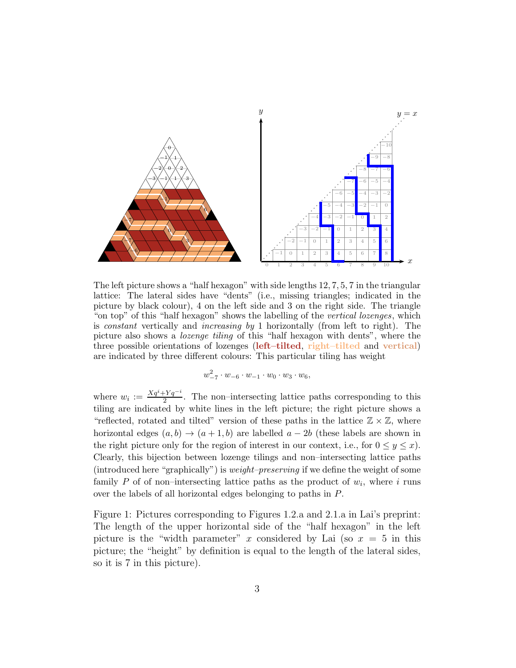

The left picture shows a "half hexagon" with side lengths 12, 7, 5, 7 in the triangular lattice: The lateral sides have "dents" (i.e., missing triangles; indicated in the picture by black colour), 4 on the left side and 3 on the right side. The triangle "on top" of this "half hexagon" shows the labelling of the vertical lozenges, which is constant vertically and increasing by 1 horizontally (from left to right). The picture also shows a lozenge tiling of this "half hexagon with dents", where the three possible orientations of lozenges (left–tilted, right–tilted and vertical) are indicated by three different colours: This particular tiling has weight

$$
w_{-7}^2 \cdot w_{-6} \cdot w_{-1} \cdot w_0 \cdot w_3 \cdot w_6,
$$

where  $w_i := \frac{Xq^i + Yq^{-i}}{2}$  $\frac{2^{p}Yq^{-1}}{2}$ . The non-intersecting lattice paths corresponding to this tiling are indicated by white lines in the left picture; the right picture shows a "reflected, rotated and tilted" version of these paths in the lattice  $\mathbb{Z} \times \mathbb{Z}$ , where horizontal edges  $(a, b) \rightarrow (a + 1, b)$  are labelled  $a - 2b$  (these labels are shown in the right picture only for the region of interest in our context, i.e., for  $0 \le y \le x$ ). Clearly, this bijection between lozenge tilings and non–intersecting lattice paths (introduced here "graphically") is weight–preserving if we define the weight of some family P of of non-intersecting lattice paths as the product of  $w_i$ , where i runs over the labels of all horizontal edges belonging to paths in P.

<span id="page-2-0"></span>Figure 1: Pictures corresponding to Figures 1.2.a and 2.1.a in Lai's preprint: The length of the upper horizontal side of the "half hexagon" in the left picture is the "width parameter" x considered by Lai (so  $x = 5$  in this picture; the "height" by definition is equal to the length of the lateral sides, so it is 7 in this picture).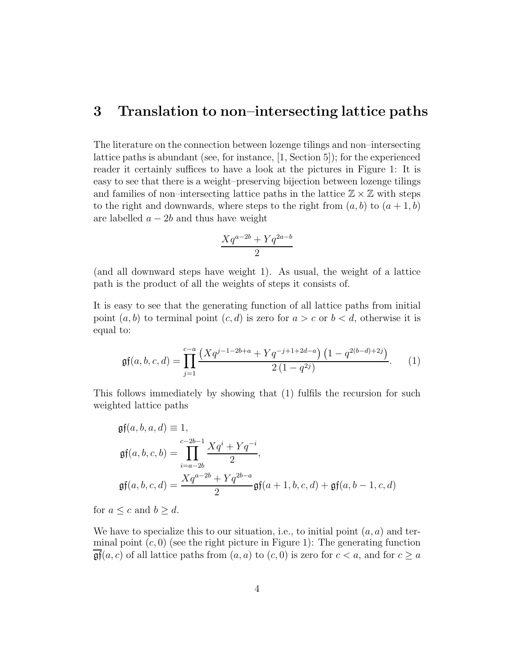### 3 Translation to non–intersecting lattice paths

The literature on the connection between lozenge tilings and non–intersecting lattice paths is abundant (see, for instance, [\[1,](#page-24-3) Section 5]); for the experienced reader it certainly suffices to have a look at the pictures in Figure [1:](#page-2-0) It is easy to see that there is a weight–preserving bijection between lozenge tilings and families of non–intersecting lattice paths in the lattice  $\mathbb{Z} \times \mathbb{Z}$  with steps to the right and downwards, where steps to the right from  $(a, b)$  to  $(a + 1, b)$ are labelled  $a - 2b$  and thus have weight

$$
\frac{Xq^{a-2b} + Yq^{2a-b}}{2}
$$

(and all downward steps have weight 1). As usual, the weight of a lattice path is the product of all the weights of steps it consists of.

It is easy to see that the generating function of all lattice paths from initial point  $(a, b)$  to terminal point  $(c, d)$  is zero for  $a > c$  or  $b < d$ , otherwise it is equal to:

<span id="page-3-0"></span>
$$
\mathfrak{gf}(a,b,c,d) = \prod_{j=1}^{c-a} \frac{\left(Xq^{j-1-2b+a} + Yq^{-j+1+2d-a}\right)\left(1-q^{2(b-d)+2j}\right)}{2\left(1-q^{2j}\right)}.
$$
 (1)

This follows immediately by showing that [\(1\)](#page-3-0) fulfils the recursion for such weighted lattice paths

$$
\mathfrak{gf}(a, b, a, d) \equiv 1,
$$
\n
$$
\mathfrak{gf}(a, b, c, b) = \prod_{i=a-2b}^{c-2b-1} \frac{Xq^{i} + Yq^{-i}}{2},
$$
\n
$$
\mathfrak{gf}(a, b, c, d) = \frac{Xq^{a-2b} + Yq^{2b-a}}{2} \mathfrak{gf}(a+1, b, c, d) + \mathfrak{gf}(a, b-1, c, d)
$$

for  $a \leq c$  and  $b \geq d$ .

We have to specialize this to our situation, i.e., to initial point  $(a, a)$  and terminal point  $(c, 0)$  (see the right picture in Figure [1\)](#page-2-0): The generating function  $\mathfrak{gf}(a, c)$  of all lattice paths from  $(a, a)$  to  $(c, 0)$  is zero for  $c < a$ , and for  $c \ge a$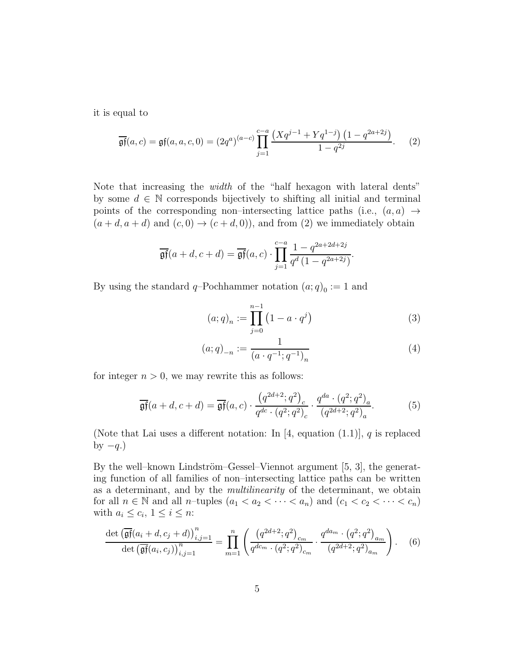it is equal to

<span id="page-4-0"></span>
$$
\overline{\mathfrak{gf}}(a,c) = \mathfrak{gf}(a,a,c,0) = (2q^a)^{(a-c)} \prod_{j=1}^{c-a} \frac{\left(Xq^{j-1} + Yq^{1-j}\right)\left(1 - q^{2a+2j}\right)}{1 - q^{2j}}.
$$
 (2)

Note that increasing the *width* of the "half hexagon with lateral dents" by some  $d \in \mathbb{N}$  corresponds bijectively to shifting all initial and terminal points of the corresponding non–intersecting lattice paths (i.e.,  $(a, a) \rightarrow$  $(a+d, a+d)$  and  $(c, 0) \rightarrow (c+d, 0)$ , and from [\(2\)](#page-4-0) we immediately obtain

$$
\overline{\mathfrak{gf}}(a+d,c+d) = \overline{\mathfrak{gf}}(a,c) \cdot \prod_{j=1}^{c-a} \frac{1 - q^{2a+2d+2j}}{q^d \left(1 - q^{2a+2j}\right)}.
$$

By using the standard  $q$ -Pochhammer notation  $(a;q)_0 := 1$  and

<span id="page-4-2"></span><span id="page-4-1"></span>
$$
(a;q)_n := \prod_{j=0}^{n-1} (1 - a \cdot q^j)
$$
 (3)

$$
(a;q)_{-n} := \frac{1}{(a \cdot q^{-1}; q^{-1})_n} \tag{4}
$$

for integer  $n > 0$ , we may rewrite this as follows:

$$
\overline{\mathfrak{gf}}(a+d,c+d) = \overline{\mathfrak{gf}}(a,c) \cdot \frac{\left(q^{2d+2};q^2\right)_c}{q^{dc} \cdot \left(q^2;q^2\right)_c} \cdot \frac{q^{da} \cdot \left(q^2;q^2\right)_a}{\left(q^{2d+2};q^2\right)_a}.\tag{5}
$$

(Note that Lai uses a different notation: In [\[4,](#page-24-0) equation  $(1.1)$ ], q is replaced by  $-q$ .)

By the well–known Lindström–Gessel–Viennot argument  $[5, 3]$  $[5, 3]$ , the generating function of all families of non–intersecting lattice paths can be written as a determinant, and by the *multilinearity* of the determinant, we obtain for all  $n \in \mathbb{N}$  and all n-tuples  $(a_1 < a_2 < \cdots < a_n)$  and  $(c_1 < c_2 < \cdots < c_n)$ with  $a_i \leq c_i, 1 \leq i \leq n$ :

$$
\frac{\det\left(\overline{\mathfrak{gf}}(a_i+d,c_j+d)\right)_{i,j=1}^n}{\det\left(\overline{\mathfrak{gf}}(a_i,c_j)\right)_{i,j=1}^n} = \prod_{m=1}^n \left(\frac{\left(q^{2d+2};q^2\right)_{c_m}}{q^{dc_m} \cdot \left(q^2;q^2\right)_{c_m}} \cdot \frac{q^{da_m} \cdot \left(q^2;q^2\right)_{a_m}}{\left(q^{2d+2};q^2\right)_{a_m}}\right). \tag{6}
$$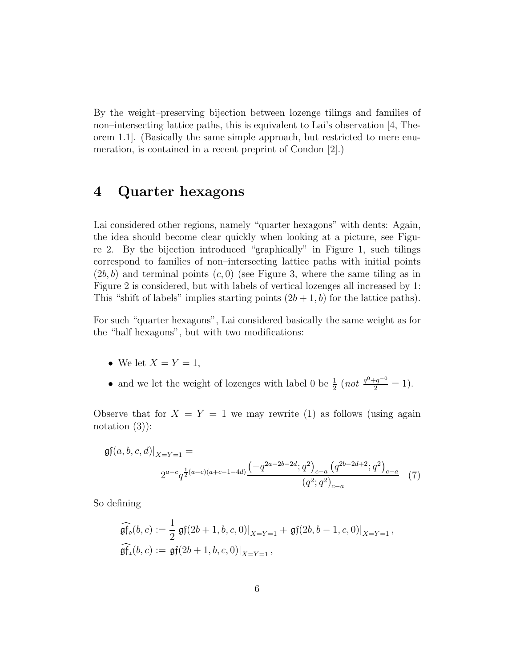By the weight–preserving bijection between lozenge tilings and families of non–intersecting lattice paths, this is equivalent to Lai's observation [\[4,](#page-24-0) Theorem 1.1]. (Basically the same simple approach, but restricted to mere enumeration, is contained in a recent preprint of Condon [\[2\]](#page-24-4).)

# 4 Quarter hexagons

Lai considered other regions, namely "quarter hexagons" with dents: Again, the idea should become clear quickly when looking at a picture, see Figure [2.](#page-6-0) By the bijection introduced "graphically" in Figure [1,](#page-2-0) such tilings correspond to families of non–intersecting lattice paths with initial points  $(2b, b)$  and terminal points  $(c, 0)$  (see Figure [3,](#page-7-0) where the same tiling as in Figure [2](#page-6-0) is considered, but with labels of vertical lozenges all increased by 1: This "shift of labels" implies starting points  $(2b + 1, b)$  for the lattice paths).

For such "quarter hexagons", Lai considered basically the same weight as for the "half hexagons", but with two modifications:

- We let  $X = Y = 1$ ,
- and we let the weight of lozenges with label 0 be  $\frac{1}{2}$  (not  $\frac{q^0+q^{-0}}{2}=1$ ).

Observe that for  $X = Y = 1$  we may rewrite [\(1\)](#page-3-0) as follows (using again notation  $(3)$ :

$$
\mathfrak{gf}(a,b,c,d)|_{X=Y=1} = \n\begin{aligned}\n2^{a-c} q^{\frac{1}{2}(a-c)(a+c-1-4d)} \frac{\left(-q^{2a-2b-2d};q^2\right)_{c-a} \left(q^{2b-2d+2};q^2\right)_{c-a}}{(q^2;q^2)_{c-a}} \tag{7}\n\end{aligned}
$$

So defining

<span id="page-5-0"></span>
$$
\widehat{\mathfrak{gf}_{o}}(b,c) := \frac{1}{2} \mathfrak{gf}(2b+1,b,c,0)|_{X=Y=1} + \mathfrak{gf}(2b,b-1,c,0)|_{X=Y=1},
$$
  

$$
\widehat{\mathfrak{gf}_{1}}(b,c) := \mathfrak{gf}(2b+1,b,c,0)|_{X=Y=1},
$$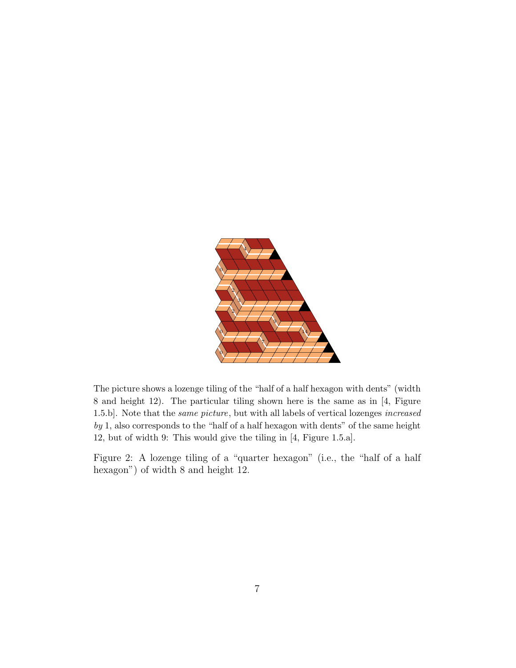

The picture shows a lozenge tiling of the "half of a half hexagon with dents" (width 8 and height 12). The particular tiling shown here is the same as in [\[4,](#page-24-0) Figure 1.5.b]. Note that the same picture, but with all labels of vertical lozenges increased by 1, also corresponds to the "half of a half hexagon with dents" of the same height 12, but of width 9: This would give the tiling in [\[4,](#page-24-0) Figure 1.5.a].

<span id="page-6-0"></span>Figure 2: A lozenge tiling of a "quarter hexagon" (i.e., the "half of a half hexagon") of width 8 and height 12.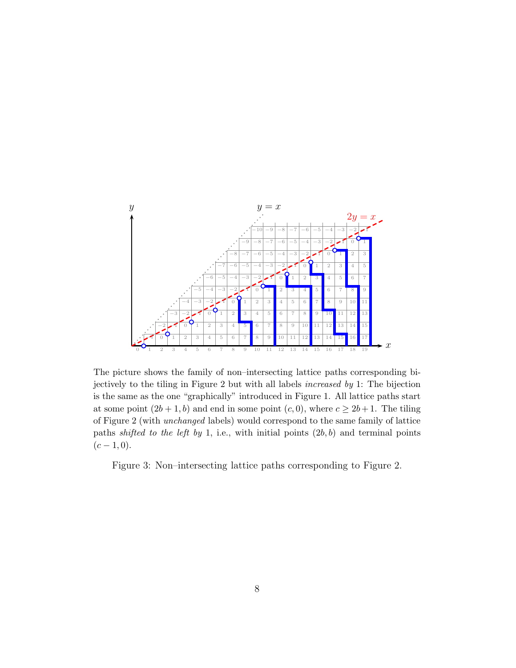

The picture shows the family of non–intersecting lattice paths corresponding bijectively to the tiling in Figure [2](#page-6-0) but with all labels increased by 1: The bijection is the same as the one "graphically" introduced in Figure [1.](#page-2-0) All lattice paths start at some point  $(2b+1, b)$  and end in some point  $(c, 0)$ , where  $c \ge 2b+1$ . The tiling of Figure [2](#page-6-0) (with unchanged labels) would correspond to the same family of lattice paths shifted to the left by 1, i.e., with initial points  $(2b, b)$  and terminal points  $(c - 1, 0).$ 

<span id="page-7-0"></span>Figure 3: Non–intersecting lattice paths corresponding to Figure [2.](#page-6-0)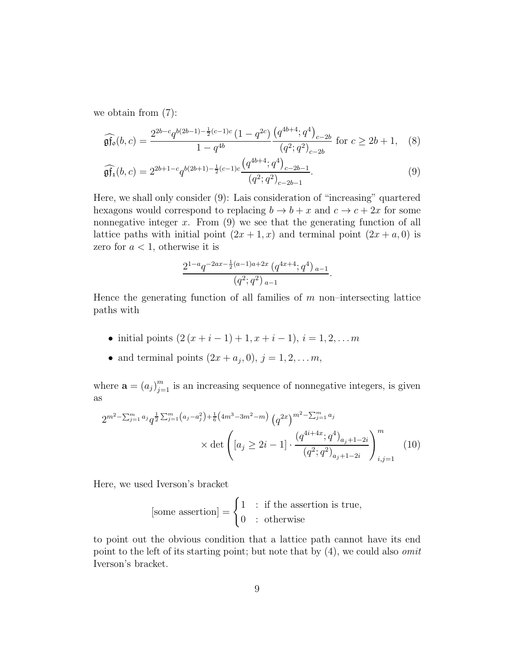we obtain from [\(7\)](#page-5-0):

$$
\widehat{\mathfrak{gf}_{\mathfrak{o}}}(b,c) = \frac{2^{2b-c}q^{b(2b-1)-\frac{1}{2}(c-1)c}\left(1-q^{2c}\right)\left(q^{4b+4};q^4\right)_{c-2b}}{1-q^{4b}}\text{ for }c\geq 2b+1,\quad(8)
$$

$$
\widehat{\mathfrak{gf}_1}(b,c) = 2^{2b+1-c} q^{b(2b+1)-\frac{1}{2}(c-1)c} \frac{\left(q^{4b+4};q^4\right)_{c-2b-1}}{\left(q^2;q^2\right)_{c-2b-1}}.\tag{9}
$$

Here, we shall only consider [\(9\)](#page-8-0): Lais consideration of "increasing" quartered hexagons would correspond to replacing  $b \to b + x$  and  $c \to c + 2x$  for some nonnegative integer  $x$ . From  $(9)$  we see that the generating function of all lattice paths with initial point  $(2x + 1, x)$  and terminal point  $(2x + a, 0)$  is zero for  $a < 1$ , otherwise it is

<span id="page-8-0"></span>
$$
\frac{2^{1-a}q^{-2ax-\frac{1}{2}(a-1)a+2x}(q^{4x+4};q^4)_{a-1}}{(q^2;q^2)_{a-1}}.
$$

Hence the generating function of all families of  $m$  non–intersecting lattice paths with

- initial points  $(2(x+i-1)+1, x+i-1), i = 1, 2, \ldots, m$
- and terminal points  $(2x + a_j, 0), j = 1, 2, \ldots m$ ,

where  $\mathbf{a} = (a_j)_{j=1}^m$  is an increasing sequence of nonnegative integers, is given as

$$
2^{m^{2}-\sum_{j=1}^{m}a_{j}}q^{\frac{1}{2}\sum_{j=1}^{m}\left(a_{j}-a_{j}^{2}\right)+\frac{1}{6}\left(4m^{3}-3m^{2}-m\right)}\left(q^{2x}\right)^{m^{2}-\sum_{j=1}^{m}a_{j}} \times \det\left(\left[a_{j}\geq 2i-1\right]\cdot\frac{\left(q^{4i+4x};q^{4}\right)_{a_{j}+1-2i}}{\left(q^{2};q^{2}\right)_{a_{j}+1-2i}}\right)_{i,j=1}^{m} \tag{10}
$$

Here, we used Iverson's bracket

<span id="page-8-1"></span>[some assertion] = 
$$
\begin{cases} 1 & \text{: if the assertion is true,} \\ 0 & \text{: otherwise} \end{cases}
$$

to point out the obvious condition that a lattice path cannot have its end point to the left of its starting point; but note that by [\(4\)](#page-4-2), we could also *omit* Iverson's bracket.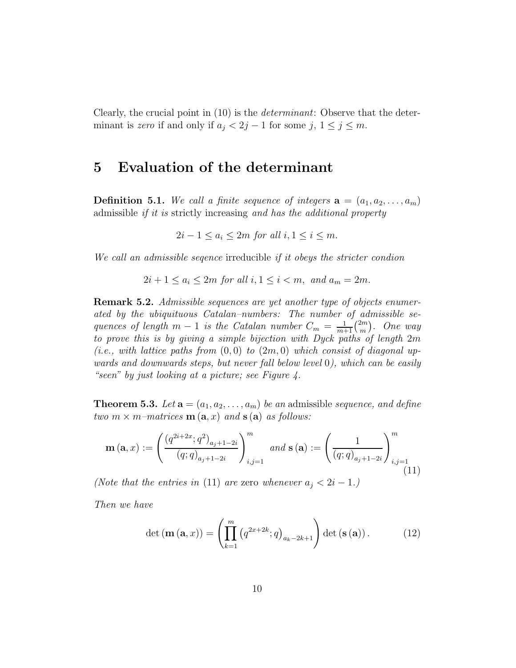Clearly, the crucial point in [\(10\)](#page-8-1) is the *determinant*: Observe that the determinant is *zero* if and only if  $a_j < 2j - 1$  for some j,  $1 \le j \le m$ .

### 5 Evaluation of the determinant

**Definition 5.1.** We call a finite sequence of integers  $\mathbf{a} = (a_1, a_2, \ldots, a_m)$ admissible *if it is* strictly increasing *and has the additional property*

 $2i - 1 \le a_i \le 2m$  *for all*  $i, 1 \le i \le m$ .

*We call an admissible seqence* irreducible *if it obeys the stricter condion*

$$
2i + 1 \le a_i \le 2m \text{ for all } i, 1 \le i < m, \text{ and } a_m = 2m.
$$

Remark 5.2. *Admissible sequences are yet another type of objects enumerated by the ubiquituous Catalan–numbers: The number of admissible sequences of length*  $m-1$  *is the Catalan number*  $C_m = \frac{1}{m+1} \binom{2m}{m}$  $\binom{2m}{m}$ . One way *to prove this is by giving a simple bijection with Dyck paths of length* 2m  $(i.e., with lattice paths from  $(0,0)$  to  $(2m,0)$  which consist of diagonal up$ *wards and downwards steps, but never fall below level* 0*), which can be easily "seen" by just looking at a picture; see Figure [4.](#page-10-0)*

<span id="page-9-2"></span>**Theorem 5.3.** Let  $\mathbf{a} = (a_1, a_2, \dots, a_m)$  be an admissible *sequence*, and define *two*  $m \times m$ *–matrices*  $\mathbf{m}(\mathbf{a},x)$  *and*  $\mathbf{s}(\mathbf{a})$  *as follows:* 

<span id="page-9-0"></span>
$$
\mathbf{m}\left(\mathbf{a},x\right) := \left(\frac{\left(q^{2i+2x};q^2\right)_{a_j+1-2i}}{\left(q;q\right)_{a_j+1-2i}}\right)_{i,j=1}^m \text{ and } \mathbf{s}\left(\mathbf{a}\right) := \left(\frac{1}{\left(q;q\right)_{a_j+1-2i}}\right)_{i,j=1}^m
$$
\n(11)

*(Note that the entries in* [\(11\)](#page-9-0) *are* zero *whenever*  $a_j < 2i - 1$ *.)* 

*Then we have*

<span id="page-9-1"></span>
$$
\det\left(\mathbf{m}\left(\mathbf{a},x\right)\right) = \left(\prod_{k=1}^{m} \left(q^{2x+2k}; q\right)_{a_k-2k+1}\right) \det\left(\mathbf{s}\left(\mathbf{a}\right)\right). \tag{12}
$$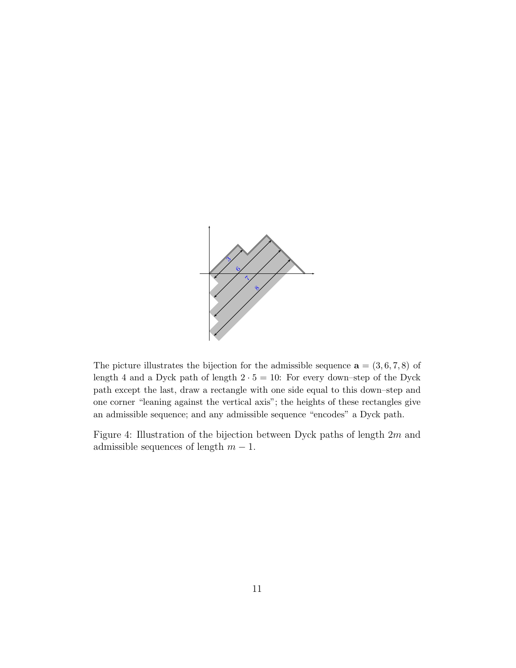

The picture illustrates the bijection for the admissible sequence  $\mathbf{a} = (3,6,7,8)$  of length 4 and a Dyck path of length  $2 \cdot 5 = 10$ : For every down–step of the Dyck path except the last, draw a rectangle with one side equal to this down–step and one corner "leaning against the vertical axis"; the heights of these rectangles give an admissible sequence; and any admissible sequence "encodes" a Dyck path.

<span id="page-10-0"></span>Figure 4: Illustration of the bijection between Dyck paths of length 2m and admissible sequences of length  $m - 1$ .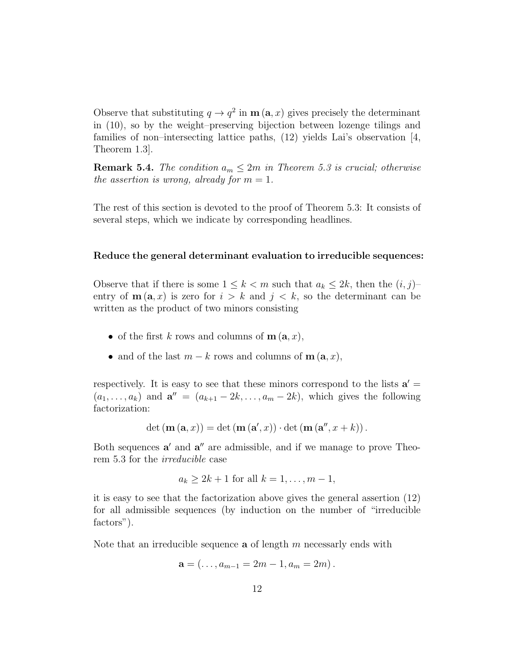Observe that substituting  $q \to q^2$  in  $\mathbf{m}(\mathbf{a},x)$  gives precisely the determinant in [\(10\)](#page-8-1), so by the weight–preserving bijection between lozenge tilings and families of non–intersecting lattice paths,  $(12)$  yields Lai's observation [\[4,](#page-24-0) Theorem 1.3].

**Remark 5.4.** *The condition*  $a_m \leq 2m$  *in Theorem [5.3](#page-9-2) is crucial; otherwise the assertion is wrong, already for*  $m = 1$ *.* 

The rest of this section is devoted to the proof of Theorem [5.3:](#page-9-2) It consists of several steps, which we indicate by corresponding headlines.

#### Reduce the general determinant evaluation to irreducible sequences:

Observe that if there is some  $1 \leq k < m$  such that  $a_k \leq 2k$ , then the  $(i, j)$ entry of  $\mathbf{m}(\mathbf{a},x)$  is zero for  $i > k$  and  $j < k$ , so the determinant can be written as the product of two minors consisting

- of the first k rows and columns of  $\mathbf{m}(\mathbf{a},x)$ ,
- and of the last  $m k$  rows and columns of  $\mathbf{m}(\mathbf{a}, x)$ ,

respectively. It is easy to see that these minors correspond to the lists  $a' =$  $(a_1, \ldots, a_k)$  and  $\mathbf{a}'' = (a_{k+1} - 2k, \ldots, a_m - 2k)$ , which gives the following factorization:

$$
\det (\mathbf{m}(\mathbf{a},x)) = \det (\mathbf{m}(\mathbf{a}',x)) \cdot \det (\mathbf{m}(\mathbf{a}'',x+k)).
$$

Both sequences a' and a'' are admissible, and if we manage to prove Theorem [5.3](#page-9-2) for the *irreducible* case

$$
a_k \ge 2k + 1
$$
 for all  $k = 1, \ldots, m - 1$ ,

it is easy to see that the factorization above gives the general assertion [\(12\)](#page-9-1) for all admissible sequences (by induction on the number of "irreducible factors").

Note that an irreducible sequence  $a$  of length  $m$  necessarly ends with

$$
\mathbf{a} = (\ldots, a_{m-1} = 2m - 1, a_m = 2m).
$$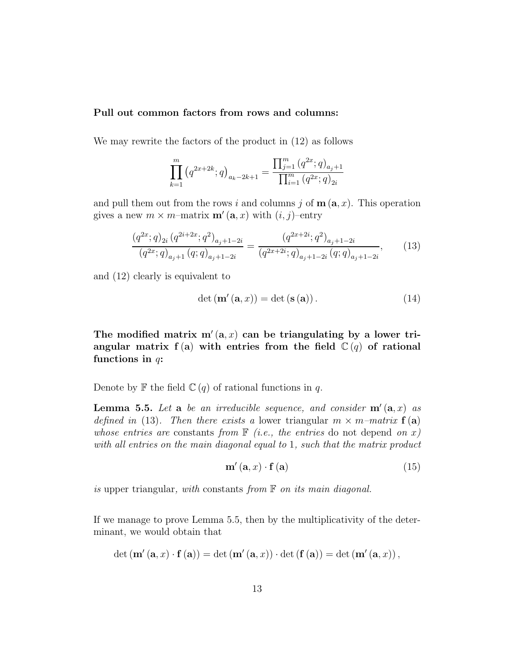### Pull out common factors from rows and columns:

We may rewrite the factors of the product in [\(12\)](#page-9-1) as follows

$$
\prod_{k=1}^{m} (q^{2x+2k}; q)_{a_k-2k+1} = \frac{\prod_{j=1}^{m} (q^{2x}; q)_{a_j+1}}{\prod_{i=1}^{m} (q^{2x}; q)_{2i}}
$$

and pull them out from the rows i and columns j of  $\mathbf{m}(\mathbf{a},x)$ . This operation gives a new  $m \times m$ -matrix  $\mathbf{m}'(\mathbf{a},x)$  with  $(i, j)$ -entry

<span id="page-12-0"></span>
$$
\frac{\left(q^{2x};q\right)_{2i}\left(q^{2i+2x};q^{2}\right)_{a_{j}+1-2i}}{\left(q^{2x};q\right)_{a_{j}+1}\left(q;q\right)_{a_{j}+1-2i}} = \frac{\left(q^{2x+2i};q^{2}\right)_{a_{j}+1-2i}}{\left(q^{2x+2i};q\right)_{a_{j}+1-2i}\left(q;q\right)_{a_{j}+1-2i}},\tag{13}
$$

and [\(12\)](#page-9-1) clearly is equivalent to

<span id="page-12-3"></span>
$$
\det (\mathbf{m}'(\mathbf{a}, x)) = \det (\mathbf{s}(\mathbf{a})). \tag{14}
$$

The modified matrix  $m'(a, x)$  can be triangulating by a lower triangular matrix f(a) with entries from the field  $\mathbb{C}(q)$  of rational functions in  $q$ :

Denote by  $\mathbb F$  the field  $\mathbb C(q)$  of rational functions in q.

<span id="page-12-1"></span>Lemma 5.5. *Let* a *be an irreducible sequence, and consider* m′ (a, x) *as defined in* [\(13\)](#page-12-0). Then there exists a lower triangular  $m \times m$ –matrix  $f(a)$ *whose entries are* constants *from*  $\mathbb{F}$  *(i.e., the entries* do not depend *on* x*) with all entries on the main diagonal equal to* 1*, such that the matrix product*

<span id="page-12-2"></span>
$$
\mathbf{m}'\left(\mathbf{a},x\right)\cdot\mathbf{f}\left(\mathbf{a}\right) \tag{15}
$$

*is* upper triangular*, with* constants *from* F *on its main diagonal.*

If we manage to prove Lemma [5.5,](#page-12-1) then by the multiplicativity of the determinant, we would obtain that

$$
\det (\mathbf{m}'(\mathbf{a},x) \cdot \mathbf{f}(\mathbf{a})) = \det (\mathbf{m}'(\mathbf{a},x)) \cdot \det (\mathbf{f}(\mathbf{a})) = \det (\mathbf{m}'(\mathbf{a},x)),
$$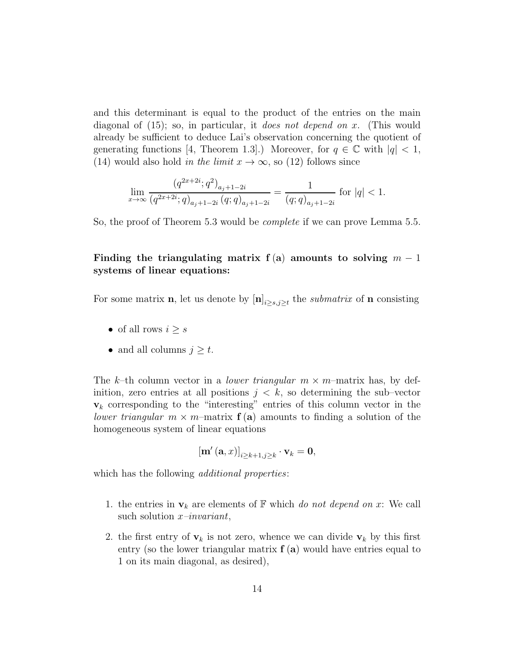and this determinant is equal to the product of the entries on the main diagonal of [\(15\)](#page-12-2); so, in particular, it *does not depend on* x. (This would already be sufficient to deduce Lai's observation concerning the quotient of generating functions [\[4,](#page-24-0) Theorem 1.3].) Moreover, for  $q \in \mathbb{C}$  with  $|q| < 1$ , [\(14\)](#page-12-3) would also hold *in the limit*  $x \to \infty$ , so [\(12\)](#page-9-1) follows since

$$
\lim_{x \to \infty} \frac{\left(q^{2x+2i}; q^2\right)_{a_j+1-2i}}{\left(q^{2x+2i}; q\right)_{a_j+1-2i} \left(q; q\right)_{a_j+1-2i}} = \frac{1}{\left(q; q\right)_{a_j+1-2i}} \text{ for } |q| < 1.
$$

So, the proof of Theorem [5.3](#page-9-2) would be *complete* if we can prove Lemma [5.5.](#page-12-1)

### Finding the triangulating matrix f (a) amounts to solving  $m-1$ systems of linear equations:

For some matrix **n**, let us denote by  $[\mathbf{n}]_{i\geq s,j\geq t}$  the *submatrix* of **n** consisting

- of all rows  $i \geq s$
- and all columns  $j \geq t$ .

The k–th column vector in a *lower triangular*  $m \times m$ –matrix has, by definition, zero entries at all positions  $j < k$ , so determining the sub-vector  $v_k$  corresponding to the "interesting" entries of this column vector in the *lower triangular*  $m \times m$ –matrix  $f(a)$  amounts to finding a solution of the homogeneous system of linear equations

$$
\left[\mathbf{m}'\left(\mathbf{a},x\right)\right]_{i\geq k+1,j\geq k}\cdot\mathbf{v}_k=\mathbf{0},
$$

which has the following *additional properties*:

- 1. the entries in  $\mathbf{v}_k$  are elements of  $\mathbb F$  which *do not depend on* x: We call such solution x*–invariant*,
- 2. the first entry of  $v_k$  is not zero, whence we can divide  $v_k$  by this first entry (so the lower triangular matrix  $f(a)$  would have entries equal to 1 on its main diagonal, as desired),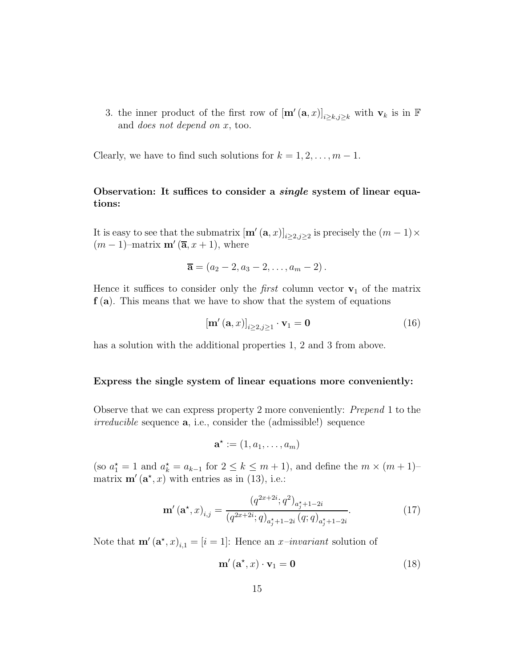3. the inner product of the first row of  $[\mathbf{m}'(\mathbf{a},x)]_{i\geq k,j\geq k}$  with  $\mathbf{v}_k$  is in  $\mathbb F$ and *does not depend on* x, too.

Clearly, we have to find such solutions for  $k = 1, 2, \ldots, m - 1$ .

### Observation: It suffices to consider a *single* system of linear equations:

It is easy to see that the submatrix  $[\mathbf{m}'(\mathbf{a},x)]_{i\geq 2,j\geq 2}$  is precisely the  $(m-1)\times$  $(m-1)$ –matrix **m'**  $(\overline{a}, x+1)$ , where

$$
\overline{\mathbf{a}} = (a_2 - 2, a_3 - 2, \dots, a_m - 2).
$$

Hence it suffices to consider only the *first* column vector  $v_1$  of the matrix  $f(a)$ . This means that we have to show that the system of equations

<span id="page-14-0"></span>
$$
\left[\mathbf{m}'\left(\mathbf{a},x\right)\right]_{i\geq 2,j\geq 1}\cdot\mathbf{v}_1=\mathbf{0}\tag{16}
$$

has a solution with the additional properties 1, 2 and 3 from above.

#### Express the single system of linear equations more conveniently:

Observe that we can express property 2 more conveniently: *Prepend* 1 to the *irreducible* sequence a, i.e., consider the (admissible!) sequence

$$
\mathbf{a}^{\star} := (1, a_1, \ldots, a_m)
$$

(so  $a_1^* = 1$  and  $a_k^* = a_{k-1}$  for  $2 \le k \le m+1$ ), and define the  $m \times (m+1)$ matrix  $\mathbf{m}'(\mathbf{a}^*, x)$  with entries as in [\(13\)](#page-12-0), i.e.:

$$
\mathbf{m}'\left(\mathbf{a}^{\star},x\right)_{i,j} = \frac{\left(q^{2x+2i};q^2\right)_{a_j^{\star}+1-2i}}{\left(q^{2x+2i};q\right)_{a_j^{\star}+1-2i}\left(q;q\right)_{a_j^{\star}+1-2i}}.\tag{17}
$$

Note that  $\mathbf{m}'(\mathbf{a}^*, x)_{i,1} = [i = 1]$ : Hence an *x-invariant* solution of

<span id="page-14-1"></span>
$$
\mathbf{m}'\left(\mathbf{a}^{\star}, x\right) \cdot \mathbf{v}_1 = \mathbf{0} \tag{18}
$$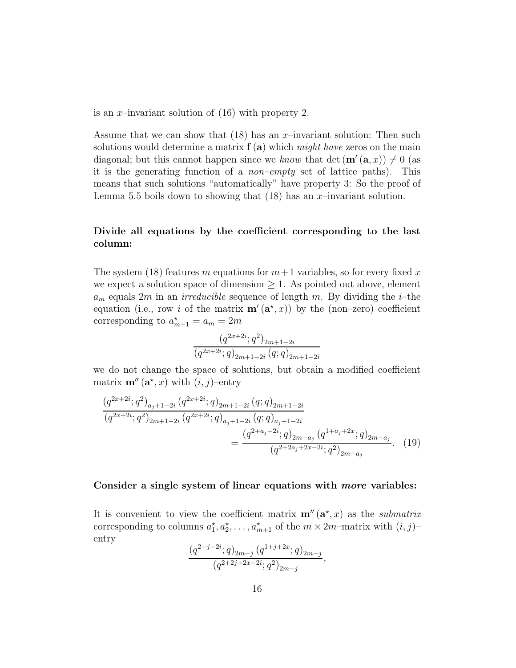is an x-invariant solution of  $(16)$  with property 2.

Assume that we can show that  $(18)$  has an x-invariant solution: Then such solutions would determine a matrix f (a) which *might have* zeros on the main diagonal; but this cannot happen since we *know* that det  $(\mathbf{m}'(\mathbf{a},x)) \neq 0$  (as it is the generating function of a *non–empty* set of lattice paths). This means that such solutions "automatically" have property 3: So the proof of Lemma [5.5](#page-12-1) boils down to showing that  $(18)$  has an x-invariant solution.

### Divide all equations by the coefficient corresponding to the last column:

The system [\(18\)](#page-14-1) features m equations for  $m+1$  variables, so for every fixed x we expect a solution space of dimension  $\geq 1$ . As pointed out above, element  $a_m$  equals 2m in an *irreducible* sequence of length m. By dividing the *i*-the equation (i.e., row i of the matrix  $\mathbf{m}'(\mathbf{a}^*,x)$ ) by the (non-zero) coefficient corresponding to  $a_{m+1}^* = a_m = 2m$ 

$$
\frac{\left(q^{2x+2i};q^2\right)_{2m+1-2i}}{\left(q^{2x+2i};q\right)_{2m+1-2i}\left(q;q\right)_{2m+1-2i}}
$$

we do not change the space of solutions, but obtain a modified coefficient matrix  $\mathbf{m}''(\mathbf{a}^*, x)$  with  $(i, j)$ -entry

$$
\frac{(q^{2x+2i};q^2)_{a_j+1-2i} (q^{2x+2i};q)_{2m+1-2i} (q;q)_{2m+1-2i}}{(q^{2x+2i};q^2)_{2m+1-2i} (q^{2x+2i};q)_{a_j+1-2i} (q;q)_{a_j+1-2i}}
$$
\n
$$
=\frac{(q^{2+a_j-2i};q)_{2m-a_j} (q^{1+a_j+2x};q)_{2m-a_j}}{(q^{2+2a_j+2x-2i};q^2)_{2m-a_j}}.\tag{19}
$$

#### Consider a single system of linear equations with more variables:

It is convenient to view the coefficient matrix  $\mathbf{m}''(\mathbf{a}^*,x)$  as the *submatrix* corresponding to columns  $a_1^{\star}, a_2^{\star}, \ldots, a_{m+1}^{\star}$  of the  $m \times 2m$ -matrix with  $(i, j)$ entry

$$
\frac{(q^{2+j-2i};q)_{2m-j} (q^{1+j+2x};q)_{2m-j}}{(q^{2+2j+2x-2i};q^2)_{2m-j}},
$$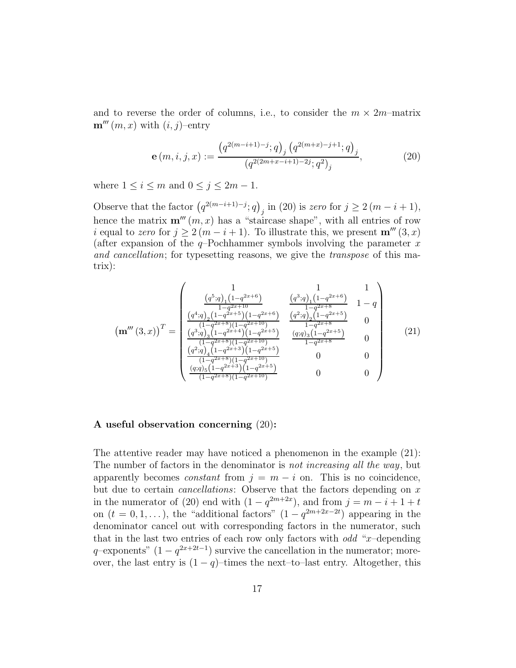and to reverse the order of columns, i.e., to consider the  $m \times 2m$ -matrix  $\mathbf{m}'''(m, x)$  with  $(i, j)$ –entry

<span id="page-16-0"></span>
$$
\mathbf{e}(m,i,j,x) := \frac{\left(q^{2(m-i+1)-j};q\right)_j \left(q^{2(m+x)-j+1};q\right)_j}{\left(q^{2(2m+x-i+1)-2j};q^2\right)_j},\tag{20}
$$

where  $1 \leq i \leq m$  and  $0 \leq j \leq 2m - 1$ .

Observe that the factor  $(q^{2(m-i+1)-j};q)_{j}$  in [\(20\)](#page-16-0) is *zero* for  $j \geq 2(m-i+1)$ , hence the matrix  $\mathbf{m}'''(m, x)$  has a "staircase shape", with all entries of row i equal to *zero* for  $j \geq 2(m - i + 1)$ . To illustrate this, we present  $\mathbf{m}'''(3, x)$ (after expansion of the  $q$ -Pochhammer symbols involving the parameter x *and cancellation*; for typesetting reasons, we give the *transpose* of this matrix):

<span id="page-16-1"></span>
$$
\left(\mathbf{m}'''(3,x)\right)^{T} = \begin{pmatrix} 1 & 1 & 1 \\ \frac{(q^{5};q)_{1}(1-q^{2x+6})}{1-q^{2x+10}} & \frac{(q^{3};q)_{1}(1-q^{2x+6})}{1-q^{2x+8}} & 1-q \\ \frac{(q^{4};q)_{2}(1-q^{2x+5})(1-q^{2x+6})}{(1-q^{2x+8})(1-q^{2x+10})} & \frac{(q^{2};q)_{2}(1-q^{2x+5})}{1-q^{2x+8}} & 0 \\ \frac{(q^{3};q)_{3}(1-q^{2x+4})(1-q^{2x+5})}{(1-q^{2x+8})(1-q^{2x+10})} & \frac{(q;q)_{3}(1-q^{2x+5})}{1-q^{2x+8}} & 0 \\ \frac{(q^{2};q)_{4}(1-q^{2x+3})(1-q^{2x+5})}{(1-q^{2x+8})(1-q^{2x+5})} & 0 & 0 \\ \frac{(q;q)_{5}(1-q^{2x+3})(1-q^{2x+5})}{(1-q^{2x+8})(1-q^{2x+10})} & 0 & 0 \end{pmatrix}
$$
(21)

#### A useful observation concerning [\(20\)](#page-16-0):

The attentive reader may have noticed a phenomenon in the example [\(21\)](#page-16-1): The number of factors in the denominator is *not increasing all the way*, but apparently becomes *constant* from  $j = m - i$  on. This is no coincidence, but due to certain *cancellations*: Observe that the factors depending on x in the numerator of [\(20\)](#page-16-0) end with  $(1 - q^{2m+2x})$ , and from  $j = m - i + 1 + t$ on  $(t = 0, 1, ...)$ , the "additional factors"  $(1 - q^{2m+2x-2t})$  appearing in the denominator cancel out with corresponding factors in the numerator, such that in the last two entries of each row only factors with  $odd$  "x-depending"  $q$ –exponents"  $(1 - q^{2x+2t-1})$  survive the cancellation in the numerator; moreover, the last entry is  $(1 - q)$ –times the next–to–last entry. Altogether, this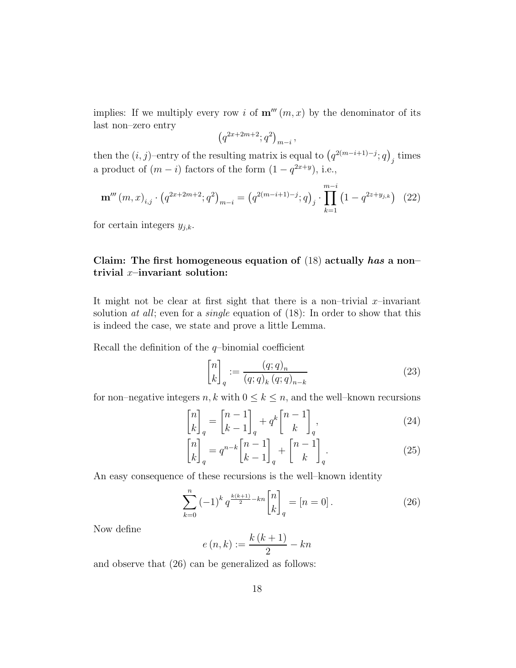implies: If we multiply every row i of  $\mathbf{m}'''(m, x)$  by the denominator of its last non–zero entry

$$
\left(q^{2x+2m+2};q^2\right)_{m-i},
$$

then the  $(i, j)$ –entry of the resulting matrix is equal to  $(q^{2(m-i+1)-j}; q)_j$  times a product of  $(m - i)$  factors of the form  $(1 - q^{2x+y})$ , i.e.,

<span id="page-17-3"></span>
$$
\mathbf{m}'''(m,x)_{i,j} \cdot \left(q^{2x+2m+2};q^2\right)_{m-i} = \left(q^{2(m-i+1)-j};q\right)_j \cdot \prod_{k=1}^{m-i} \left(1-q^{2z+y_{j,k}}\right) \tag{22}
$$

for certain integers  $y_{j,k}$ .

### Claim: The first homogeneous equation of  $(18)$  actually has a non– trivial  $x$ –invariant solution:

It might not be clear at first sight that there is a non–trivial  $x$ –invariant solution *at all*; even for a *single* equation of [\(18\)](#page-14-1): In order to show that this is indeed the case, we state and prove a little Lemma.

Recall the definition of the  $q$ -binomial coefficient

<span id="page-17-2"></span><span id="page-17-1"></span>
$$
\begin{bmatrix} n \\ k \end{bmatrix}_q := \frac{(q;q)_n}{(q;q)_k (q;q)_{n-k}}
$$
\n(23)

for non–negative integers  $n, k$  with  $0 \leq k \leq n$ , and the well–known recursions

$$
\begin{bmatrix} n \\ k \end{bmatrix}_q = \begin{bmatrix} n-1 \\ k-1 \end{bmatrix}_q + q^k \begin{bmatrix} n-1 \\ k \end{bmatrix}_q,
$$
\n(24)

$$
\begin{bmatrix} n \\ k \end{bmatrix}_q = q^{n-k} \begin{bmatrix} n-1 \\ k-1 \end{bmatrix}_q + \begin{bmatrix} n-1 \\ k \end{bmatrix}_q.
$$
 (25)

An easy consequence of these recursions is the well–known identity

<span id="page-17-0"></span>
$$
\sum_{k=0}^{n} (-1)^{k} q^{\frac{k(k+1)}{2} - kn} \begin{bmatrix} n \\ k \end{bmatrix}_{q} = [n = 0].
$$
 (26)

Now define

$$
e(n,k) := \frac{k(k+1)}{2} - kn
$$

and observe that [\(26\)](#page-17-0) can be generalized as follows: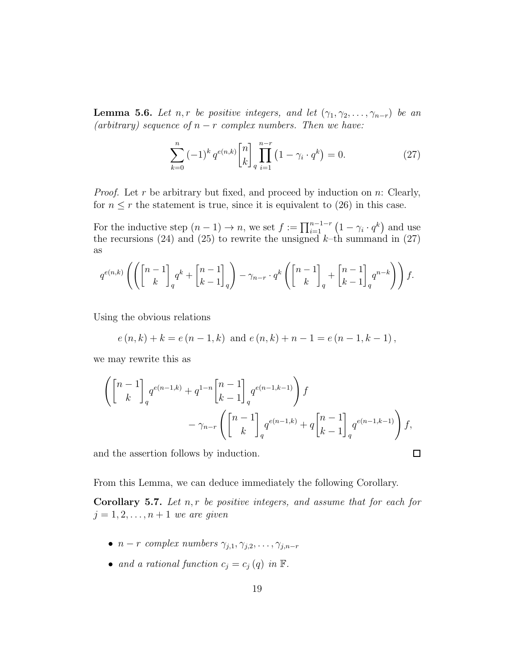<span id="page-18-1"></span>**Lemma 5.6.** *Let*  $n, r$  *be positive integers, and let*  $(\gamma_1, \gamma_2, \ldots, \gamma_{n-r})$  *be an*  $(arbitrary) sequence of  $n-r$  complex numbers. Then we have:$ 

<span id="page-18-0"></span>
$$
\sum_{k=0}^{n} (-1)^{k} q^{e(n,k)} \begin{bmatrix} n \\ k \end{bmatrix} \prod_{i=1}^{n-r} (1 - \gamma_{i} \cdot q^{k}) = 0.
$$
 (27)

*Proof.* Let r be arbitrary but fixed, and proceed by induction on n: Clearly, for  $n \leq r$  the statement is true, since it is equivalent to [\(26\)](#page-17-0) in this case.

For the inductive step  $(n-1) \to n$ , we set  $f := \prod_{i=1}^{n-1-r} (1 - \gamma_i \cdot q^k)$  and use the recursions [\(24\)](#page-17-1) and [\(25\)](#page-17-2) to rewrite the unsigned  $k$ -th summand in [\(27\)](#page-18-0) as

$$
q^{e(n,k)}\left(\left(\begin{bmatrix}n-1\\k\end{bmatrix}_q q^k + \begin{bmatrix}n-1\\k-1\end{bmatrix}_q\right) - \gamma_{n-r} \cdot q^k \left(\begin{bmatrix}n-1\\k\end{bmatrix}_q + \begin{bmatrix}n-1\\k-1\end{bmatrix}_q q^{n-k}\right)\right) f.
$$

Using the obvious relations

$$
e(n,k) + k = e(n-1,k)
$$
 and  $e(n,k) + n - 1 = e(n-1,k-1)$ ,

we may rewrite this as

$$
\left( \begin{bmatrix} n-1 \\ k \end{bmatrix}_q q^{e(n-1,k)} + q^{1-n} \begin{bmatrix} n-1 \\ k-1 \end{bmatrix}_q q^{e(n-1,k-1)} \right) f
$$
  
-  $\gamma_{n-r} \left( \begin{bmatrix} n-1 \\ k \end{bmatrix}_q q^{e(n-1,k)} + q \begin{bmatrix} n-1 \\ k-1 \end{bmatrix}_q q^{e(n-1,k-1)} \right) f$ ,

 $\Box$ 

and the assertion follows by induction.

From this Lemma, we can deduce immediately the following Corollary.

<span id="page-18-2"></span>Corollary 5.7. *Let* n, r *be positive integers, and assume that for each for*  $j = 1, 2, ..., n + 1$  *we are given* 

- $n r$  *complex numbers*  $\gamma_{j,1}, \gamma_{j,2}, \ldots, \gamma_{j,n-r}$
- *and a rational function*  $c_j = c_j(q)$  *in*  $\mathbb{F}$ *.*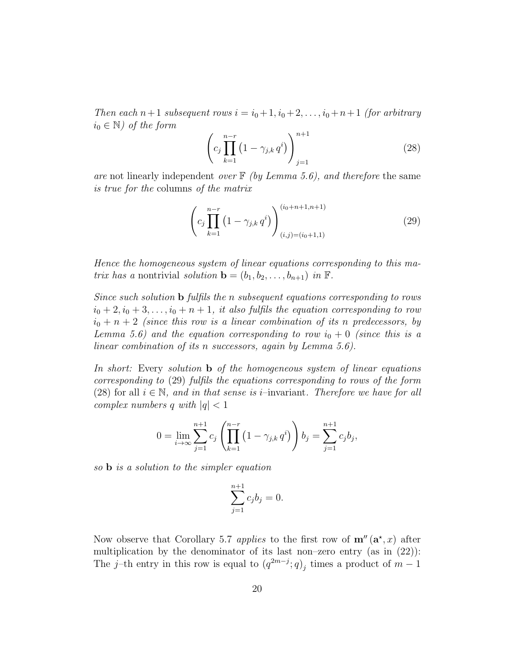*Then each*  $n+1$  *subsequent rows*  $i = i_0 + 1, i_0 + 2, \ldots, i_0 + n+1$  *(for arbitrary*)  $i_0 \in \mathbb{N}$ *)* of the form

<span id="page-19-1"></span>
$$
\left(c_j \prod_{k=1}^{n-r} \left(1 - \gamma_{j,k} q^i\right)\right)_{j=1}^{n+1}
$$
\n(28)

*are* not linearly independent *over* F *(by Lemma [5.6\)](#page-18-1), and therefore* the same *is true for the* columns *of the matrix*

<span id="page-19-0"></span>
$$
\left(c_j \prod_{k=1}^{n-r} \left(1 - \gamma_{j,k} q^i\right)\right)_{(i,j)=(i_0+1,1)}^{(i_0+n+1,n+1)}\tag{29}
$$

*Hence the homogeneous system of linear equations corresponding to this matrix has a* nontrivial *solution*  $\mathbf{b} = (b_1, b_2, \ldots, b_{n+1})$  *in*  $\mathbb{F}$ *.* 

*Since such solution* b *fulfils the* n *subsequent equations corresponding to rows*  $i_0 + 2, i_0 + 3, \ldots, i_0 + n + 1$ , it also fulfils the equation corresponding to row  $i_0 + n + 2$  *(since this row is a linear combination of its n predecessors, by Lemma* [5.6\)](#page-18-1) and the equation corresponding to row  $i_0 + 0$  (since this is a *linear combination of its* n *successors, again by Lemma [5.6\)](#page-18-1).*

*In short:* Every *solution* b *of the homogeneous system of linear equations corresponding to* [\(29\)](#page-19-0) *fulfils the equations corresponding to rows of the form* [\(28\)](#page-19-1) for all  $i \in \mathbb{N}$ , and in that sense is *i*–invariant. Therefore we have for all *complex numbers* q *with*  $|q| < 1$ 

$$
0 = \lim_{i \to \infty} \sum_{j=1}^{n+1} c_j \left( \prod_{k=1}^{n-r} \left( 1 - \gamma_{j,k} q^i \right) \right) b_j = \sum_{j=1}^{n+1} c_j b_j,
$$

*so* b *is a solution to the simpler equation*

$$
\sum_{j=1}^{n+1} c_j b_j = 0.
$$

Now observe that Corollary [5.7](#page-18-2) *applies* to the first row of  $\mathbf{m}''(\mathbf{a}^*,x)$  after multiplication by the denominator of its last non–zero entry (as in [\(22\)](#page-17-3)): The j–th entry in this row is equal to  $(q^{2m-j}; q)_j$  times a product of  $m-1$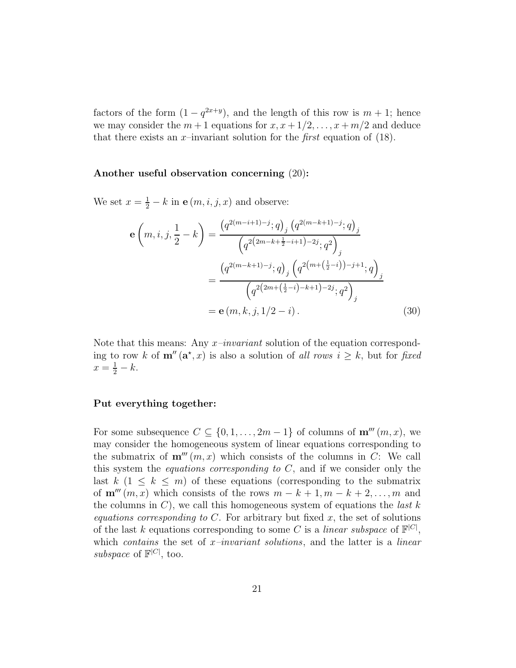factors of the form  $(1 - q^{2x+y})$ , and the length of this row is  $m + 1$ ; hence we may consider the  $m + 1$  equations for  $x, x + \frac{1}{2}, \ldots, x + \frac{m}{2}$  and deduce that there exists an  $x$ -invariant solution for the *first* equation of [\(18\)](#page-14-1).

#### Another useful observation concerning [\(20\)](#page-16-0):

We set  $x = \frac{1}{2} - k$  in  $e(m, i, j, x)$  and observe:

<span id="page-20-0"></span>
$$
\mathbf{e}\left(m,i,j,\frac{1}{2}-k\right) = \frac{\left(q^{2(m-i+1)-j};q\right)_j \left(q^{2(m-k+1)-j};q\right)_j}{\left(q^{2(2m-k+\frac{1}{2}-i+1)-2j};q^2\right)_j}
$$

$$
=\frac{\left(q^{2(m-k+1)-j};q\right)_j \left(q^{2(m+\left(\frac{1}{2}-i\right))-j+1};q\right)_j}{\left(q^{2(2m+\left(\frac{1}{2}-i\right)-k+1)-2j};q^2\right)_j}
$$

$$
=\mathbf{e}\left(m,k,j,1/2-i\right).
$$
(30)

Note that this means: Any x*–invariant* solution of the equation corresponding to row k of  $m''(\mathbf{a}^*, x)$  is also a solution of *all rows*  $i \geq k$ , but for *fixed*  $x = \frac{1}{2} - k.$ 

#### Put everything together:

For some subsequence  $C \subseteq \{0, 1, \ldots, 2m-1\}$  of columns of  $\mathbf{m}^{\prime\prime\prime}(m, x)$ , we may consider the homogeneous system of linear equations corresponding to the submatrix of  $\mathbf{m}'''(m, x)$  which consists of the columns in C: We call this system the *equations corresponding to* C, and if we consider only the last  $k$  (1  $\leq$  k  $\leq$  m) of these equations (corresponding to the submatrix of  $\mathbf{m}''''(m, x)$  which consists of the rows  $m - k + 1, m - k + 2, \ldots, m$  and the columns in C), we call this homogeneous system of equations the *last* k *equations corresponding to*  $C$ . For arbitrary but fixed  $x$ , the set of solutions of the last k equations corresponding to some C is a *linear subspace* of  $\mathbb{F}^{|C|}$ , which *contains* the set of x*–invariant solutions*, and the latter is a *linear* subspace of  $\mathbb{F}^{|C|}$ , too.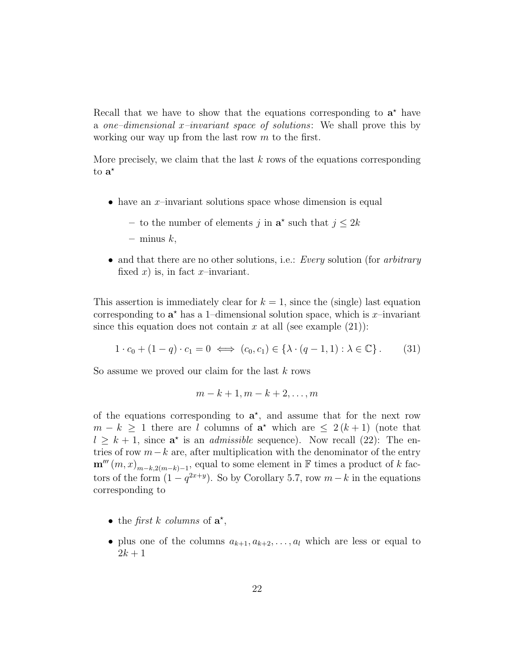Recall that we have to show that the equations corresponding to  $a^*$  have a *one–dimensional* x*–invariant space of solutions*: We shall prove this by working our way up from the last row  $m$  to the first.

More precisely, we claim that the last  $k$  rows of the equations corresponding to  $\mathbf{a}^{\star}$ 

- have an x-invariant solutions space whose dimension is equal
	- to the number of elements j in  $\mathbf{a}^*$  such that  $j \leq 2k$
	- $-$  minus  $k$ ,
- and that there are no other solutions, i.e.: *Every* solution (for *arbitrary* fixed x) is, in fact x-invariant.

This assertion is immediately clear for  $k = 1$ , since the (single) last equation corresponding to  $\mathbf{a}^*$  has a 1-dimensional solution space, which is x-invariant since this equation does not contain x at all (see example  $(21)$ ):

<span id="page-21-0"></span>
$$
1 \cdot c_0 + (1 - q) \cdot c_1 = 0 \iff (c_0, c_1) \in \{\lambda \cdot (q - 1, 1) : \lambda \in \mathbb{C}\}.
$$
 (31)

So assume we proved our claim for the last  $k$  rows

$$
m-k+1, m-k+2, \ldots, m
$$

of the equations corresponding to  $a^*$ , and assume that for the next row  $m - k \geq 1$  there are l columns of  $a^*$  which are  $\leq 2(k+1)$  (note that  $l \geq k+1$ , since  $\mathbf{a}^*$  is an *admissible* sequence). Now recall [\(22\)](#page-17-3): The entries of row  $m-k$  are, after multiplication with the denominator of the entry  $\mathbf{m}'''\left(m,x\right)_{m-k,2(m-k)-1}$ , equal to some element in F times a product of k factors of the form  $(1 - q^{2x+y})$ . So by Corollary [5.7,](#page-18-2) row  $m - k$  in the equations corresponding to

- the *first k columns* of  $a^*$ ,
- plus one of the columns  $a_{k+1}, a_{k+2}, \ldots, a_l$  which are less or equal to  $2k + 1$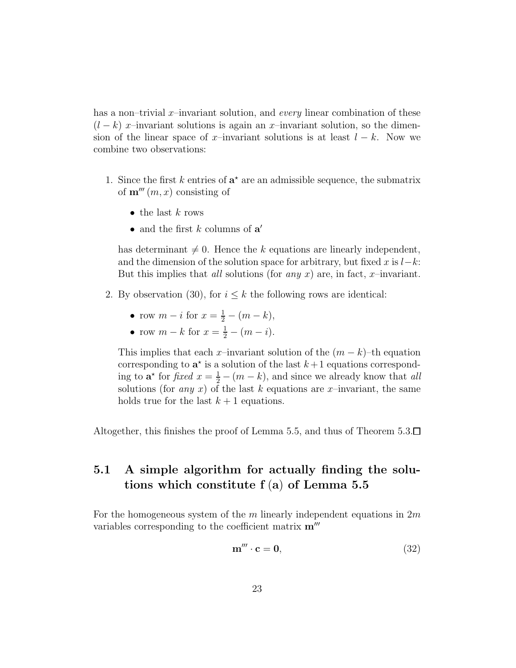has a non–trivial x–invariant solution, and *every* linear combination of these  $(l - k)$  x–invariant solutions is again an x–invariant solution, so the dimension of the linear space of x–invariant solutions is at least  $l - k$ . Now we combine two observations:

- 1. Since the first  $k$  entries of  $a^*$  are an admissible sequence, the submatrix of  $\mathbf{m}^{\prime\prime\prime}(m, x)$  consisting of
	- the last  $k$  rows
	- and the first  $k$  columns of  $a'$

has determinant  $\neq 0$ . Hence the k equations are linearly independent, and the dimension of the solution space for arbitrary, but fixed x is  $l-k$ : But this implies that *all* solutions (for *any* x) are, in fact, x–invariant.

- 2. By observation [\(30\)](#page-20-0), for  $i \leq k$  the following rows are identical:
	- row  $m i$  for  $x = \frac{1}{2} (m k)$ ,
	- row  $m k$  for  $x = \frac{1}{2} (m i)$ .

This implies that each x–invariant solution of the  $(m - k)$ –th equation corresponding to  $\mathbf{a}^*$  is a solution of the last  $k+1$  equations corresponding to  $\mathbf{a}^*$  for *fixed*  $x = \frac{1}{2} - (m - k)$ , and since we already know that *all* solutions (for *any* x) of the last k equations are x-invariant, the same holds true for the last  $k + 1$  equations.

Altogether, this finishes the proof of Lemma [5.5,](#page-12-1) and thus of Theorem [5.3.](#page-9-2) $\Box$ 

### 5.1 A simple algorithm for actually finding the solutions which constitute f (a) of Lemma [5.5](#page-12-1)

For the homogeneous system of the m linearly independent equations in  $2m$ variables corresponding to the coefficient matrix  $\mathbf{m}^{\prime\prime\prime}$ 

<span id="page-22-0"></span>
$$
\mathbf{m}^{\prime\prime\prime} \cdot \mathbf{c} = \mathbf{0},\tag{32}
$$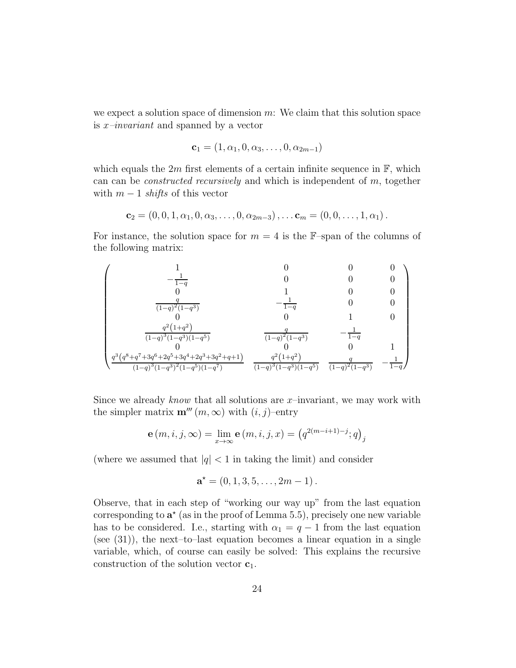we expect a solution space of dimension  $m$ : We claim that this solution space is x*–invariant* and spanned by a vector

$$
\mathbf{c}_1 = (1, \alpha_1, 0, \alpha_3, \dots, 0, \alpha_{2m-1})
$$

which equals the 2m first elements of a certain infinite sequence in  $\mathbb{F}$ , which can can be *constructed recursively* and which is independent of m, together with  $m-1$  *shifts* of this vector

$$
\mathbf{c}_2=(0,0,1,\alpha_1,0,\alpha_3,\ldots,0,\alpha_{2m-3}),\ldots \mathbf{c}_m=(0,0,\ldots,1,\alpha_1).
$$

For instance, the solution space for  $m = 4$  is the F-span of the columns of the following matrix:



Since we already *know* that all solutions are x–invariant, we may work with the simpler matrix  $\mathbf{m}'''(m,\infty)$  with  $(i, j)$ –entry

$$
\mathbf{e}(m, i, j, \infty) = \lim_{x \to \infty} \mathbf{e}(m, i, j, x) = (q^{2(m-i+1)-j}; q)_j
$$

(where we assumed that  $|q| < 1$  in taking the limit) and consider

$$
\mathbf{a}^* = (0, 1, 3, 5, \dots, 2m - 1).
$$

Observe, that in each step of "working our way up" from the last equation corresponding to  $\mathbf{a}^*$  (as in the proof of Lemma [5.5\)](#page-12-1), precisely one new variable has to be considered. I.e., starting with  $\alpha_1 = q - 1$  from the last equation (see  $(31)$ ), the next–to–last equation becomes a linear equation in a single variable, which, of course can easily be solved: This explains the recursive construction of the solution vector  $c_1$ .